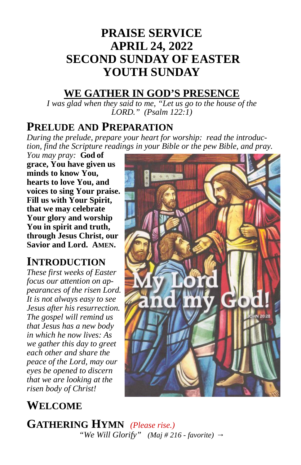# **PRAISE SERVICE APRIL 24, 2022 SECOND SUNDAY OF EASTER YOUTH SUNDAY**

### **WE GATHER IN GOD'S PRESENCE**

*I was glad when they said to me, "Let us go to the house of the LORD." (Psalm 122:1)*

## **PRELUDE AND PREPARATION**

*During the prelude, prepare your heart for worship: read the introduction, find the Scripture readings in your Bible or the pew Bible, and pray.*

*You may pray:* **God of grace, You have given us minds to know You, hearts to love You, and voices to sing Your praise. Fill us with Your Spirit, that we may celebrate Your glory and worship You in spirit and truth, through Jesus Christ, our Savior and Lord. AMEN.**

### **INTRODUCTION**

*These first weeks of Easter focus our attention on appearances of the risen Lord. It is not always easy to see Jesus after his resurrection. The gospel will remind us that Jesus has a new body in which he now lives: As we gather this day to greet each other and share the peace of the Lord, may our eyes be opened to discern that we are looking at the risen body of Christ!*



# **WELCOME**

**GATHERING HYMN** *(Please rise.) "We Will Glorify" (Maj # 216 - favorite)*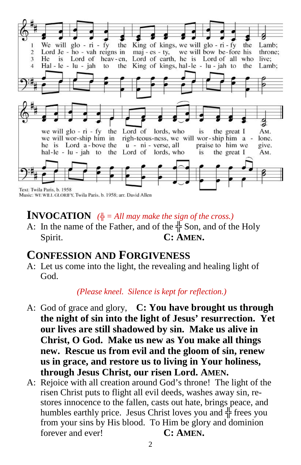

Music: WE WILL GLORIFY, Twila Paris, b. 1958; arr. David Allen

#### **INVOCATION** *( = All may make the sign of the cross.)*

A: In the name of the Father, and of the Son, and of the Holy Spirit. **C: AMEN.** 

### **CONFESSION AND FORGIVENESS**

A: Let us come into the light, the revealing and healing light of God.

#### *(Please kneel. Silence is kept for reflection.)*

- A: God of grace and glory, **C: You have brought us through the night of sin into the light of Jesus' resurrection. Yet our lives are still shadowed by sin. Make us alive in Christ, O God. Make us new as You make all things new. Rescue us from evil and the gloom of sin, renew us in grace, and restore us to living in Your holiness, through Jesus Christ, our risen Lord. AMEN.**
- A: Rejoice with all creation around God's throne! The light of the risen Christ puts to flight all evil deeds, washes away sin, restores innocence to the fallen, casts out hate, brings peace, and humbles earthly price. Jesus Christ loves you and frees you from your sins by His blood. To Him be glory and dominion<br>forever and ever! C: AMEN.  $for every and every$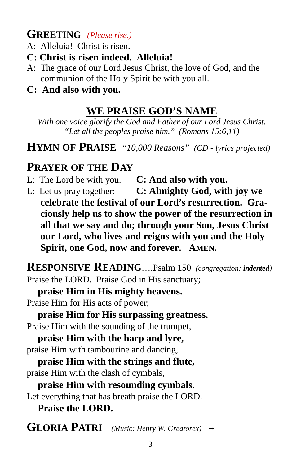## **GREETING** *(Please rise.)*

- A: Alleluia! Christ is risen.
- **C: Christ is risen indeed. Alleluia!**
- A: The grace of our Lord Jesus Christ, the love of God, and the communion of the Holy Spirit be with you all.
- **C: And also with you.**

## **WE PRAISE GOD'S NAME**

*With one voice glorify the God and Father of our Lord Jesus Christ. "Let all the peoples praise him." (Romans 15:6,11)*

**HYMN OF PRAISE** *"10,000 Reasons" (CD - lyrics projected)*

## **PRAYER OF THE DAY**

- 
- L: The Lord be with you. **C: And also with you.**<br>L: Let us pray together: **C: Almighty God, with** C: Almighty God, with joy we **celebrate the festival of our Lord's resurrection. Graciously help us to show the power of the resurrection in all that we say and do; through your Son, Jesus Christ our Lord, who lives and reigns with you and the Holy Spirit, one God, now and forever. AMEN.**

**RESPONSIVE READING**….Psalm 150 *(congregation: indented)* Praise the LORD. Praise God in His sanctuary;

#### **praise Him in His mighty heavens.**

Praise Him for His acts of power;

**praise Him for His surpassing greatness.** Praise Him with the sounding of the trumpet,

**praise Him with the harp and lyre,** praise Him with tambourine and dancing,

**praise Him with the strings and flute,** praise Him with the clash of cymbals,

**praise Him with resounding cymbals.** Let everything that has breath praise the LORD. **Praise the LORD.**

**GLORIA PATRI** *(Music: Henry W. Greatorex)*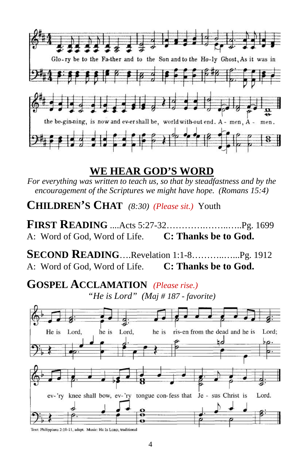

## **WE HEAR GOD'S WORD**

*For everything was written to teach us, so that by steadfastness and by the encouragement of the Scriptures we might have hope. (Romans 15:4)*

**CHILDREN'S CHAT** *(8:30) (Please sit.)* Youth

**FIRST READING** ....Acts 5:27-32………….……..…..Pg. 1699 A: Word of God, Word of Life. **C: Thanks be to God.**

**SECOND READING**….Revelation 1:1-8………..…...Pg. 1912 A: Word of God, Word of Life. **C: Thanks be to God.**

**GOSPEL ACCLAMATION** *(Please rise.) "He is Lord" (Maj # 187 - favorite)*



Text: Philippians 2:10-11, adapt. Music: HE Is LORD, traditional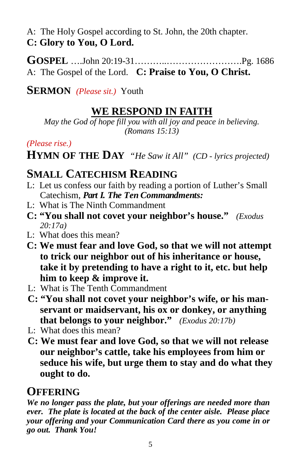#### A: The Holy Gospel according to St. John, the 20th chapter. **C: Glory to You, O Lord.**

**GOSPEL** ….John 20:19-31………..…………………….Pg. 1686 A: The Gospel of the Lord. **C: Praise to You, O Christ.**

**SERMON** *(Please sit.)* Youth

### **WE RESPOND IN FAITH**

*May the God of hope fill you with all joy and peace in believing. (Romans 15:13)*

*(Please rise.)*

**HYMN OF THE DAY** *"He Saw it All" (CD - lyrics projected)*

# **SMALL CATECHISM READING**

- L: Let us confess our faith by reading a portion of Luther's Small Catechism, *Part I. The Ten Commandments:*
- L: What is The Ninth Commandment
- **C: "You shall not covet your neighbor's house."** *(Exodus 20:17a)*
- L: What does this mean?
- **C: We must fear and love God, so that we will not attempt to trick our neighbor out of his inheritance or house, take it by pretending to have a right to it, etc. but help him to keep & improve it.**
- L: What is The Tenth Commandment
- **C: "You shall not covet your neighbor's wife, or his manservant or maidservant, his ox or donkey, or anything that belongs to your neighbor."** *(Exodus 20:17b)*
- L: What does this mean?
- **C: We must fear and love God, so that we will not release our neighbor's cattle, take his employees from him or seduce his wife, but urge them to stay and do what they ought to do.**

# **OFFERING**

*We no longer pass the plate, but your offerings are needed more than ever. The plate is located at the back of the center aisle. Please place your offering and your Communication Card there as you come in or go out. Thank You!*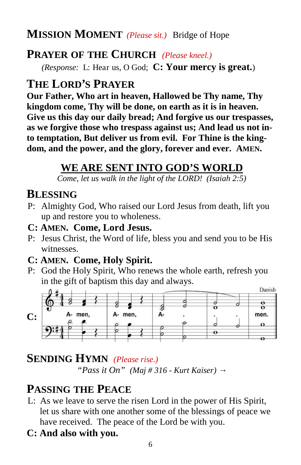## **MISSION MOMENT** *(Please sit.)* Bridge of Hope

## **PRAYER OF THE CHURCH** *(Please kneel.)*

*(Response:* L: Hear us, O God; **C: Your mercy is great.**)

# **THE LORD'S PRAYER**

**Our Father, Who art in heaven, Hallowed be Thy name, Thy kingdom come, Thy will be done, on earth as it is in heaven. Give us this day our daily bread; And forgive us our trespasses, as we forgive those who trespass against us; And lead us not into temptation, But deliver us from evil. For Thine is the kingdom, and the power, and the glory, forever and ever. AMEN.**

# **WE ARE SENT INTO GOD'S WORLD**

*Come, let us walk in the light of the LORD! (Isaiah 2:5)*

## **BLESSING**

- P: Almighty God, Who raised our Lord Jesus from death, lift you up and restore you to wholeness.
- **C: AMEN. Come, Lord Jesus.**
- P: Jesus Christ, the Word of life, bless you and send you to be His witnesses.

### **C: AMEN. Come, Holy Spirit.**

P: God the Holy Spirit, Who renews the whole earth, refresh you in the gift of baptism this day and always.



# **SENDING HYMN** *(Please rise.)*

*"Pass it On" (Maj # 316 - Kurt Kaiser) →*

# **PASSING THE PEACE**

- L: As we leave to serve the risen Lord in the power of His Spirit, let us share with one another some of the blessings of peace we have received. The peace of the Lord be with you.
- **C: And also with you.**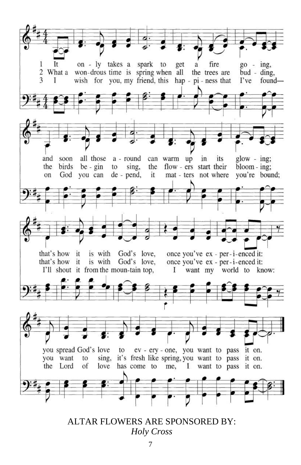

ALTAR FLOWERS ARE SPONSORED BY: *Holy Cross*